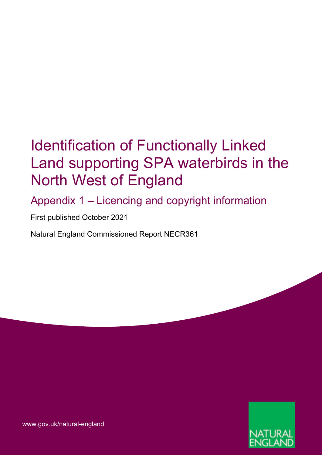# Identification of Functionally Linked Land supporting SPA waterbirds in the North West of England

Appendix 1 – Licencing and copyright information

First published October 2021

Natural England Commissioned Report NECR361



[www.gov.uk/natural-england](http://www.gov.uk/natural-england)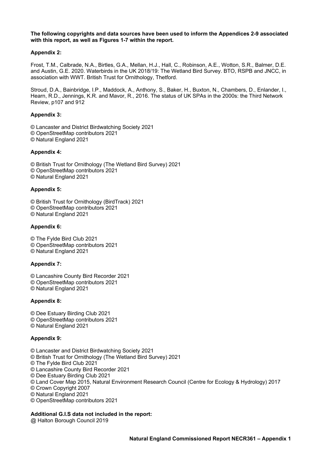**The following copyrights and data sources have been used to inform the Appendices 2-9 associated with this report, as well as Figures 1-7 within the report.**

# **Appendix 2:**

Frost, T.M., Calbrade, N.A., Birtles, G.A., Mellan, H.J., Hall, C., Robinson, A.E., Wotton, S.R., Balmer, D.E. and Austin, G.E. 2020. Waterbirds in the UK 2018/19: The Wetland Bird Survey. BTO, RSPB and JNCC, in association with WWT. British Trust for Ornithology, Thetford.

Stroud, D.A., Bainbridge, I.P., Maddock, A., Anthony, S., Baker, H., Buxton, N., Chambers, D., Enlander, I., Hearn, R.D., Jennings, K.R. and Mavor, R., 2016. The status of UK SPAs in the 2000s: the Third Network Review, p107 and 912

# **Appendix 3:**

- © Lancaster and District Birdwatching Society 2021
- © OpenStreetMap contributors 2021
- © Natural England 2021

# **Appendix 4:**

- © British Trust for Ornithology (The Wetland Bird Survey) 2021
- © OpenStreetMap contributors 2021
- © Natural England 2021

# **Appendix 5:**

- © British Trust for Ornithology (BirdTrack) 2021
- © OpenStreetMap contributors 2021
- © Natural England 2021

#### **Appendix 6:**

- © The Fylde Bird Club 2021
- © OpenStreetMap contributors 2021
- © Natural England 2021

#### **Appendix 7:**

- © Lancashire County Bird Recorder 2021
- © OpenStreetMap contributors 2021
- © Natural England 2021

#### **Appendix 8:**

© Dee Estuary Birding Club 2021 © OpenStreetMap contributors 2021 © Natural England 2021

# **Appendix 9:**

- © Lancaster and District Birdwatching Society 2021
- © British Trust for Ornithology (The Wetland Bird Survey) 2021
- © The Fylde Bird Club 2021
- © Lancashire County Bird Recorder 2021
- © Dee Estuary Birding Club 2021
- © Land Cover Map 2015, Natural Environment Research Council (Centre for Ecology & Hydrology) 2017
- © Crown Copyright 2007
- © Natural England 2021
- © OpenStreetMap contributors 2021

# **Additional G.I.S data not included in the report:**

@ Halton Borough Council 2019